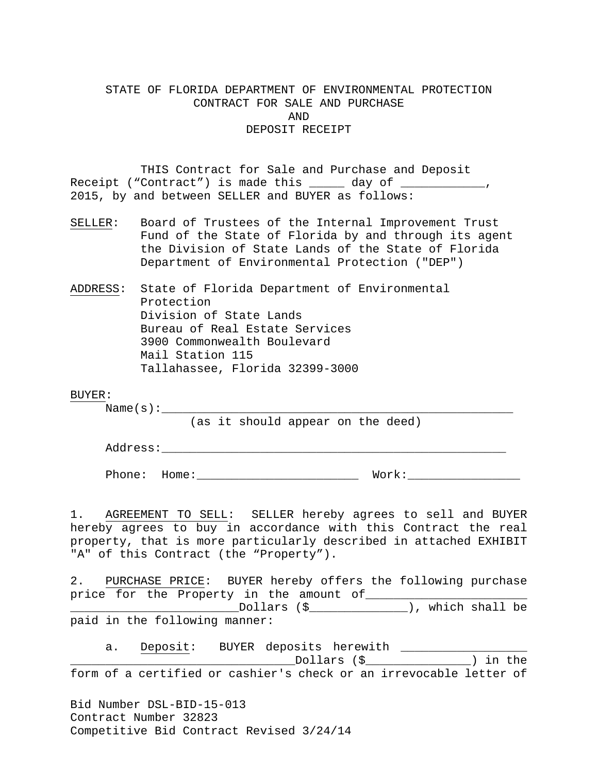# STATE OF FLORIDA DEPARTMENT OF ENVIRONMENTAL PROTECTION CONTRACT FOR SALE AND PURCHASE AND DEPOSIT RECEIPT

THIS Contract for Sale and Purchase and Deposit Receipt ("Contract") is made this \_\_\_\_\_ day of \_\_\_\_\_\_\_\_\_\_\_, 2015, by and between SELLER and BUYER as follows:

- SELLER: Board of Trustees of the Internal Improvement Trust Fund of the State of Florida by and through its agent the Division of State Lands of the State of Florida Department of Environmental Protection ("DEP")
- ADDRESS: State of Florida Department of Environmental Protection Division of State Lands Bureau of Real Estate Services 3900 Commonwealth Boulevard Mail Station 115 Tallahassee, Florida 32399-3000

#### BUYER:

 $Name(s):$ 

(as it should appear on the deed)

Address:\_\_\_\_\_\_\_\_\_\_\_\_\_\_\_\_\_\_\_\_\_\_\_\_\_\_\_\_\_\_\_\_\_\_\_\_\_\_\_\_\_\_\_\_\_\_\_\_\_

Phone: Home:\_\_\_\_\_\_\_\_\_\_\_\_\_\_\_\_\_\_\_\_\_\_\_ Work:\_\_\_\_\_\_\_\_\_\_\_\_\_\_\_\_

1. AGREEMENT TO SELL: SELLER hereby agrees to sell and BUYER hereby agrees to buy in accordance with this Contract the real property, that is more particularly described in attached EXHIBIT "A" of this Contract (the "Property").

2. PURCHASE PRICE: BUYER hereby offers the following purchase price for the Property in the amount of\_\_\_\_\_\_\_\_\_\_\_\_\_\_\_\_\_\_\_\_\_\_\_ \_\_\_\_\_\_\_\_\_\_\_\_\_\_\_\_\_\_\_\_\_\_\_\_Dollars (\$\_\_\_\_\_\_\_\_\_\_\_\_\_\_), which shall be paid in the following manner:

Bid Number DSL-BID-15-013 Contract Number 32823 a. Deposit: BUYER deposits herewith \_\_\_\_\_\_\_\_\_\_\_\_\_\_\_\_\_\_ \_\_\_\_\_\_\_\_\_\_\_\_\_\_\_\_\_\_\_\_\_\_\_\_\_\_\_\_\_\_\_\_Dollars (\$\_\_\_\_\_\_\_\_\_\_\_\_\_\_\_) in the form of a certified or cashier's check or an irrevocable letter of

Competitive Bid Contract Revised 3/24/14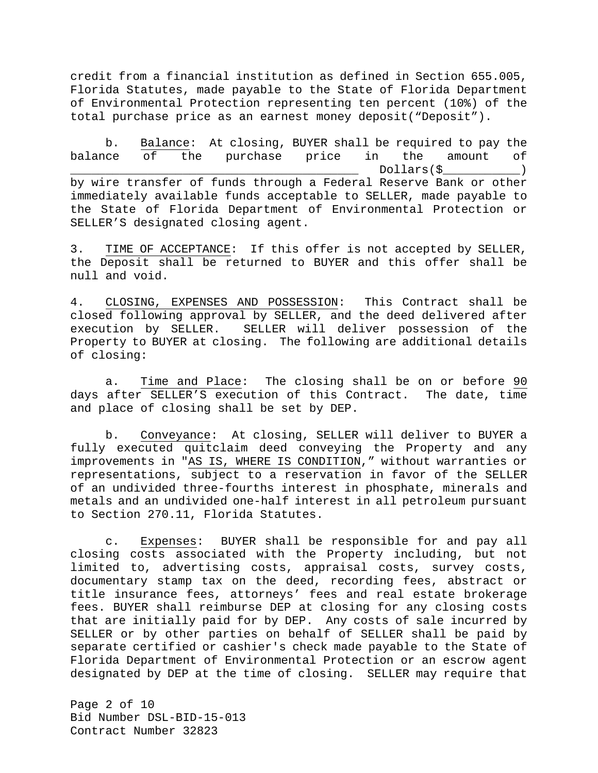credit from a financial institution as defined in Section 655.005, Florida Statutes, made payable to the State of Florida Department of Environmental Protection representing ten percent (10%) of the total purchase price as an earnest money deposit("Deposit").

b. Balance: At closing, BUYER shall be required to pay the balance of the purchase price in the amount of \_\_\_\_\_\_\_\_\_\_\_\_\_\_\_\_\_\_\_\_\_\_\_\_\_\_\_\_\_\_\_\_\_\_\_\_\_\_\_\_\_ Dollars(\$\_\_\_\_\_\_\_\_\_\_\_) by wire transfer of funds through a Federal Reserve Bank or other immediately available funds acceptable to SELLER, made payable to the State of Florida Department of Environmental Protection or SELLER'S designated closing agent.

3. TIME OF ACCEPTANCE: If this offer is not accepted by SELLER, the Deposit shall be returned to BUYER and this offer shall be null and void.

4. CLOSING, EXPENSES AND POSSESSION: This Contract shall be closed following approval by SELLER, and the deed delivered after<br>execution by SELLER. SELLER will deliver possession of the SELLER will deliver possession of the Property to BUYER at closing. The following are additional details of closing:

a. Time and Place: The closing shall be on or before 90 days after SELLER'S execution of this Contract. The date, time and place of closing shall be set by DEP.

b. Conveyance: At closing, SELLER will deliver to BUYER a fully executed quitclaim deed conveying the Property and any improvements in "AS IS, WHERE IS CONDITION," without warranties or representations, subject to a reservation in favor of the SELLER of an undivided three-fourths interest in phosphate, minerals and metals and an undivided one-half interest in all petroleum pursuant to Section 270.11, Florida Statutes.

c. Expenses: BUYER shall be responsible for and pay all closing costs associated with the Property including, but not limited to, advertising costs, appraisal costs, survey costs, documentary stamp tax on the deed, recording fees, abstract or title insurance fees, attorneys' fees and real estate brokerage fees. BUYER shall reimburse DEP at closing for any closing costs that are initially paid for by DEP. Any costs of sale incurred by SELLER or by other parties on behalf of SELLER shall be paid by separate certified or cashier's check made payable to the State of Florida Department of Environmental Protection or an escrow agent designated by DEP at the time of closing. SELLER may require that

Page 2 of 10 Bid Number DSL-BID-15-013 Contract Number 32823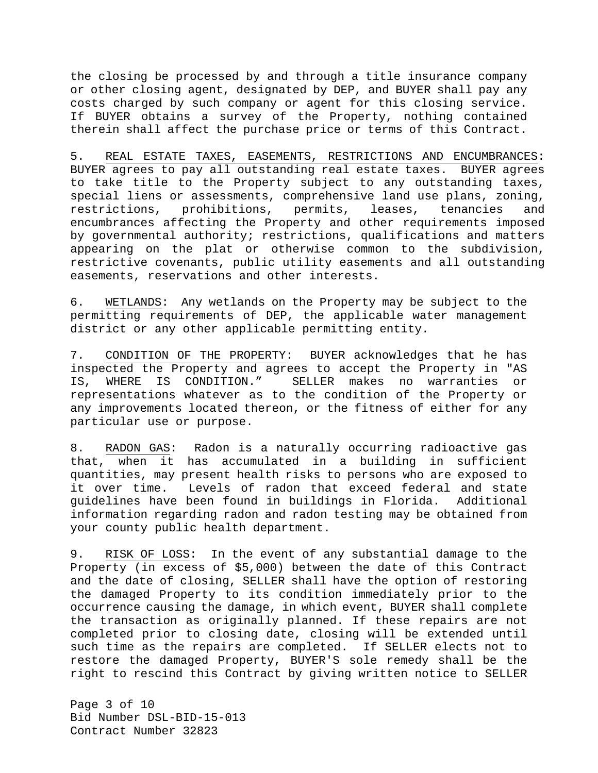the closing be processed by and through a title insurance company or other closing agent, designated by DEP, and BUYER shall pay any costs charged by such company or agent for this closing service. If BUYER obtains a survey of the Property, nothing contained therein shall affect the purchase price or terms of this Contract.

5. REAL ESTATE TAXES, EASEMENTS, RESTRICTIONS AND ENCUMBRANCES: BUYER agrees to pay all outstanding real estate taxes. BUYER agrees to take title to the Property subject to any outstanding taxes, special liens or assessments, comprehensive land use plans, zoning,<br>restrictions, prohibitions, permits, leases, tenancies and prohibitions, permits, leases, tenancies and encumbrances affecting the Property and other requirements imposed by governmental authority; restrictions, qualifications and matters appearing on the plat or otherwise common to the subdivision, restrictive covenants, public utility easements and all outstanding easements, reservations and other interests.

6. WETLANDS: Any wetlands on the Property may be subject to the permitting requirements of DEP, the applicable water management district or any other applicable permitting entity.

7. CONDITION OF THE PROPERTY: BUYER acknowledges that he has inspected the Property and agrees to accept the Property in "AS<br>IS, WHERE IS CONDITION." SELLER makes no warranties or IS, WHERE IS CONDITION." SELLER makes no warranties or representations whatever as to the condition of the Property or any improvements located thereon, or the fitness of either for any particular use or purpose.

8. RADON GAS: Radon is a naturally occurring radioactive gas that, when it has accumulated in a building in sufficient quantities, may present health risks to persons who are exposed to it over time. Levels of radon that exceed federal and state guidelines have been found in buildings in Florida. Additional information regarding radon and radon testing may be obtained from your county public health department.

9. RISK OF LOSS: In the event of any substantial damage to the Property (in excess of \$5,000) between the date of this Contract and the date of closing, SELLER shall have the option of restoring the damaged Property to its condition immediately prior to the occurrence causing the damage, in which event, BUYER shall complete the transaction as originally planned. If these repairs are not completed prior to closing date, closing will be extended until such time as the repairs are completed. If SELLER elects not to restore the damaged Property, BUYER'S sole remedy shall be the right to rescind this Contract by giving written notice to SELLER

Page 3 of 10 Bid Number DSL-BID-15-013 Contract Number 32823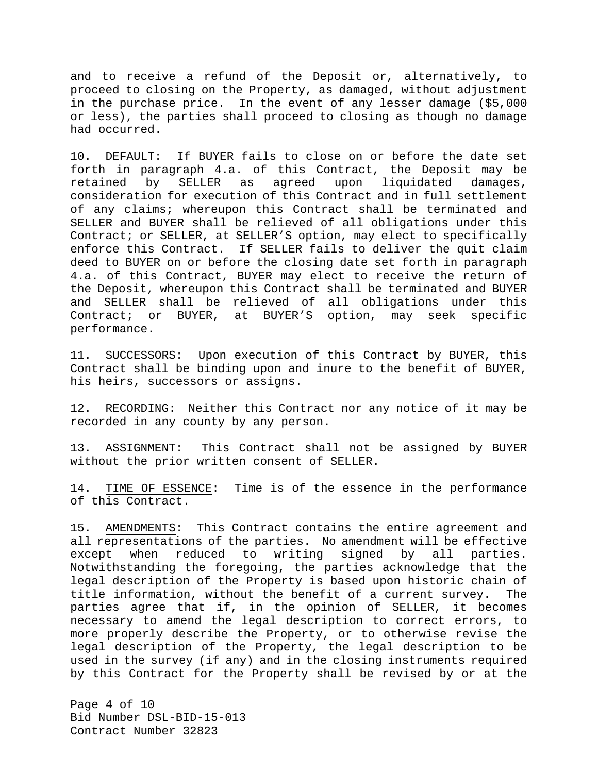and to receive a refund of the Deposit or, alternatively, to proceed to closing on the Property, as damaged, without adjustment in the purchase price. In the event of any lesser damage (\$5,000 or less), the parties shall proceed to closing as though no damage had occurred.

10. DEFAULT: If BUYER fails to close on or before the date set forth in paragraph 4.a. of this Contract, the Deposit may be retained by SELLER as agreed upon liquidated damages, consideration for execution of this Contract and in full settlement of any claims; whereupon this Contract shall be terminated and SELLER and BUYER shall be relieved of all obligations under this Contract; or SELLER, at SELLER'S option, may elect to specifically enforce this Contract. If SELLER fails to deliver the quit claim deed to BUYER on or before the closing date set forth in paragraph 4.a. of this Contract, BUYER may elect to receive the return of the Deposit, whereupon this Contract shall be terminated and BUYER and SELLER shall be relieved of all obligations under this Contract; or BUYER, at BUYER'S option, may seek specific performance.

11. SUCCESSORS: Upon execution of this Contract by BUYER, this Contract shall be binding upon and inure to the benefit of BUYER, his heirs, successors or assigns.

12. RECORDING: Neither this Contract nor any notice of it may be recorded in any county by any person.

13. ASSIGNMENT: This Contract shall not be assigned by BUYER without the prior written consent of SELLER.

14. TIME OF ESSENCE: Time is of the essence in the performance of this Contract.

15. AMENDMENTS: This Contract contains the entire agreement and all representations of the parties. No amendment will be effective except when reduced to writing signed by all parties. Notwithstanding the foregoing, the parties acknowledge that the legal description of the Property is based upon historic chain of title information, without the benefit of a current survey. The parties agree that if, in the opinion of SELLER, it becomes necessary to amend the legal description to correct errors, to more properly describe the Property, or to otherwise revise the legal description of the Property, the legal description to be used in the survey (if any) and in the closing instruments required by this Contract for the Property shall be revised by or at the

Page 4 of 10 Bid Number DSL-BID-15-013 Contract Number 32823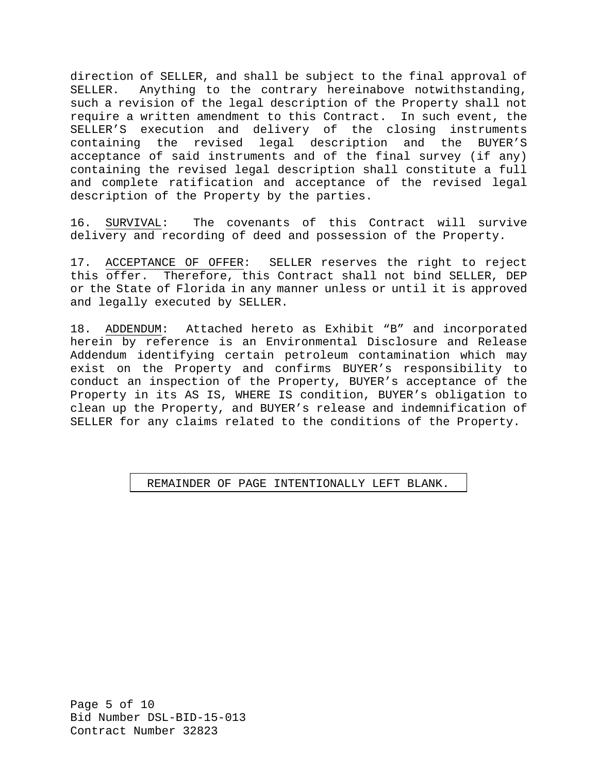direction of SELLER, and shall be subject to the final approval of SELLER. Anything to the contrary hereinabove notwithstanding. Anything to the contrary hereinabove notwithstanding, such a revision of the legal description of the Property shall not require a written amendment to this Contract. In such event, the SELLER'S execution and delivery of the closing instruments containing the revised legal description and the BUYER'S acceptance of said instruments and of the final survey (if any) containing the revised legal description shall constitute a full and complete ratification and acceptance of the revised legal description of the Property by the parties.

16. SURVIVAL: The covenants of this Contract will survive delivery and recording of deed and possession of the Property.

17. ACCEPTANCE OF OFFER: SELLER reserves the right to reject this offer. Therefore, this Contract shall not bind SELLER, DEP or the State of Florida in any manner unless or until it is approved and legally executed by SELLER.

18. ADDENDUM: Attached hereto as Exhibit "B" and incorporated herein by reference is an Environmental Disclosure and Release Addendum identifying certain petroleum contamination which may exist on the Property and confirms BUYER's responsibility to conduct an inspection of the Property, BUYER's acceptance of the Property in its AS IS, WHERE IS condition, BUYER's obligation to clean up the Property, and BUYER's release and indemnification of SELLER for any claims related to the conditions of the Property.

#### REMAINDER OF PAGE INTENTIONALLY LEFT BLANK.

Page 5 of 10 Bid Number DSL-BID-15-013 Contract Number 32823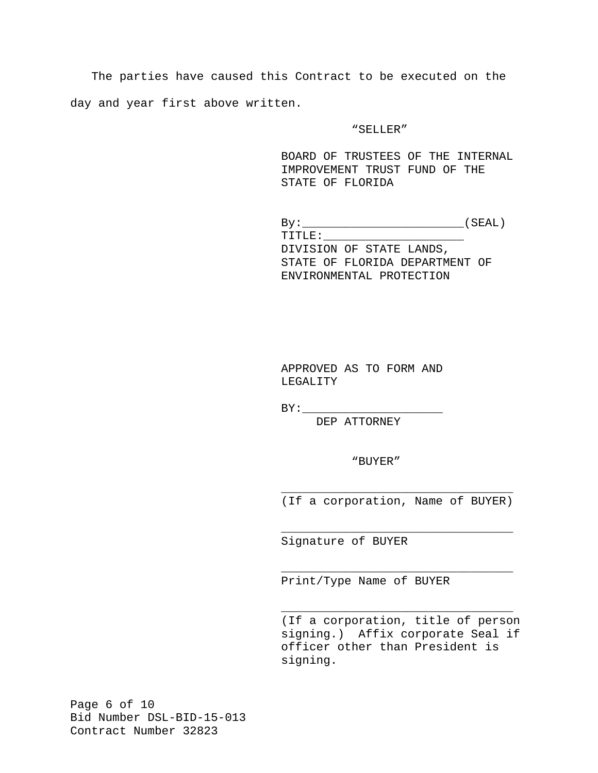The parties have caused this Contract to be executed on the day and year first above written.

#### "SELLER"

BOARD OF TRUSTEES OF THE INTERNAL IMPROVEMENT TRUST FUND OF THE STATE OF FLORIDA

 $\mathtt{By:}\underbrace{\hspace{2.5cm}}_{\rule{2.8cm}{0.2cm} \text{By:}}\underbrace{\hspace{2.3cm}}_{\rule{2.8cm}{0.2cm} \text{[SEAL)}}$  TITLE:\_\_\_\_\_\_\_\_\_\_\_\_\_\_\_\_\_\_\_\_ DIVISION OF STATE LANDS, STATE OF FLORIDA DEPARTMENT OF ENVIRONMENTAL PROTECTION

APPROVED AS TO FORM AND LEGALITY

 $BY:$ 

DEP ATTORNEY

"BUYER"

\_\_\_\_\_\_\_\_\_\_\_\_\_\_\_\_\_\_\_\_\_\_\_\_\_\_\_\_\_\_\_\_\_ (If a corporation, Name of BUYER)

\_\_\_\_\_\_\_\_\_\_\_\_\_\_\_\_\_\_\_\_\_\_\_\_\_\_\_\_\_\_\_\_\_

\_\_\_\_\_\_\_\_\_\_\_\_\_\_\_\_\_\_\_\_\_\_\_\_\_\_\_\_\_\_\_\_\_

\_\_\_\_\_\_\_\_\_\_\_\_\_\_\_\_\_\_\_\_\_\_\_\_\_\_\_\_\_\_\_\_\_

Signature of BUYER

Print/Type Name of BUYER

(If a corporation, title of person signing.) Affix corporate Seal if officer other than President is signing.

Page 6 of 10 Bid Number DSL-BID-15-013 Contract Number 32823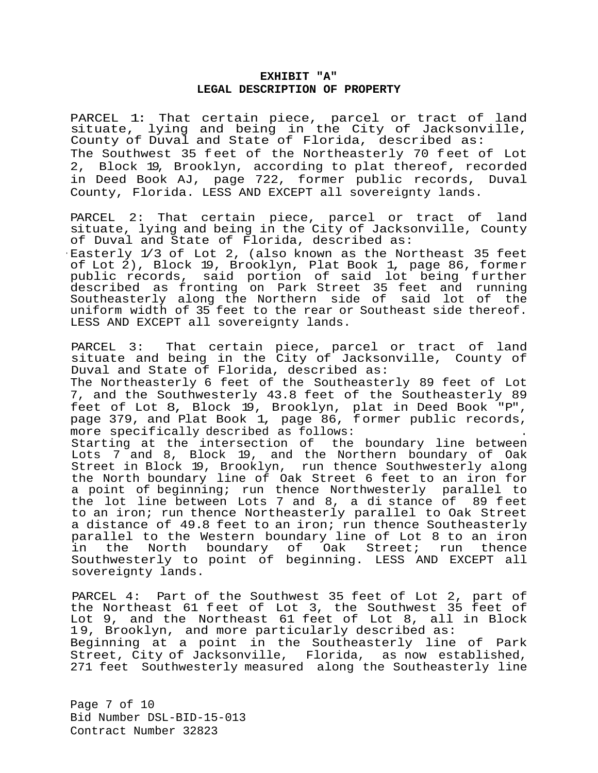### **EXHIBIT "A" LEGAL DESCRIPTION OF PROPERTY**

PARCEL 1: That certain piece, parcel or tract of land situate, lying and being in the City of Jacksonville, County of Duval and State of Florida, described as: The Southwest 35 feet of the Northeasterly 70 feet of Lot 2, Block 19, Brooklyn, according to plat thereof, recorded in Deed Book AJ, page 722, former public records, Duval County, Florida. LESS AND EXCEPT all sovereignty lands.

PARCEL 2: That certain piece, parcel or tract of land situate, lying and being in the City of Jacksonville, County of Duval and State of Florida, described as:

· Easterly 1/3 of Lot 2, (also known as the Northeast 35 feet of Lot 2), Block 19, Brooklyn, Plat Book 1, page 86, former public records, said portion of said lot being further described as fronting on Park Street 35 feet and running Southeasterly along the Northern side of said lot of the uniform width of 35 feet to the rear or Southeast side thereof. LESS AND EXCEPT all sovereignty lands.

PARCEL 3: That certain piece, parcel or tract of land situate and being in the City of Jacksonville, County of Duval and State of Florida, described as: The Northeasterly 6 feet of the Southeasterly 89 feet of Lot 7, and the Southwesterly 43.8 feet of the Southeasterly 89 feet of Lot 8, Block 19, Brooklyn, plat in Deed Book "P", page 379, and Plat Book 1, page 86, former public records,<br>more specifically described as follows: Starting at the intersection of the boundary line between Lots 7 and 8, Block 19, and the Northern boundary of Oak Street in Block 19, Brooklyn, run thence Southwesterly along the North boundary line of Oak Street 6 feet to an iron for a point of beginning; run thence Northwesterly parallel to<br>the lot line between Lots 7 and 8, a di stance of 89 feet the lot line between Lots  $7$  and  $8$ , a di stance of to an iron; run thence Northeasterly parallel to Oak Street a distance of 49.8 feet to an iron; run thence Southeasterly parallel to the Western boundary line of Lot 8 to an iron the North boundary of Oak Street; Southwesterly to point of beginning. LESS AND EXCEPT all sovereignty lands.

PARCEL 4: Part of the Southwest 35 feet of Lot 2, part of the Northeast 61 feet of Lot 3, the Southwest 35 feet of Lot 9, and the Northeast 61 feet of Lot 8, all in Block 1 9, Brooklyn, and more particularly described as: Beginning at a point in the Southeasterly line of Park Street, City of Jacksonville, Florida, as now established, 271 feet Southwesterly measured along the Southeasterly line

Page 7 of 10 Bid Number DSL-BID-15-013 Contract Number 32823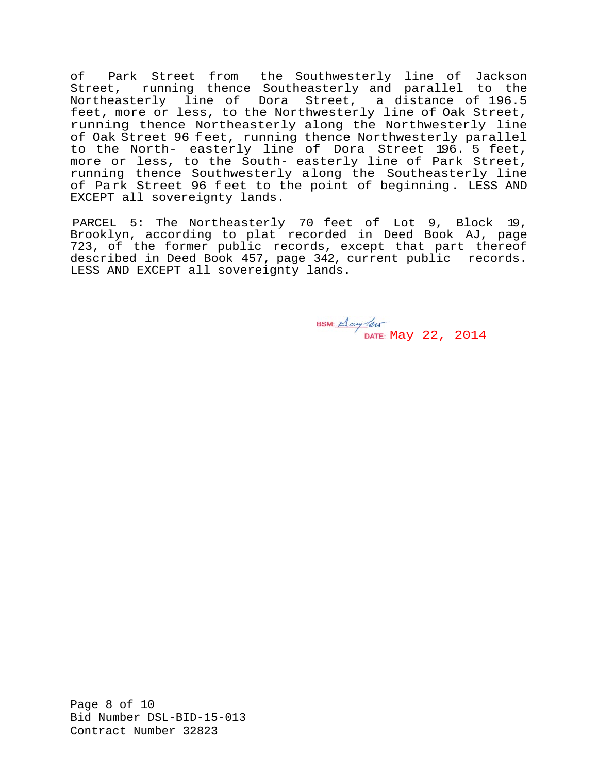of Park Street from the Southwesterly line of Jackson Street, running thence Southeasterly and parallel to the Northeasterly line of Dora Street, a distance of 196.5 feet, more or less, to the Northwesterly line of Oak Street, running thence Northeasterly along the Northwesterly line of Oak Street 96 feet, running thence Northwesterly parallel to the North- easterly line of Dora Street 196. 5 feet, more or less, to the South- easterly line of Park Street, running thence Southwesterly along the Southeasterly line of Park Street 96 feet to the point of beginning. LESS AND EXCEPT all sovereignty lands.

PARCEL 5: The Northeasterly 70 feet of Lot 9, Block 19, Brooklyn, according to plat recorded in Deed Book AJ, page 723, of the former public records, except that part thereof described in Deed Book 457, page 342, current public records. LESS AND EXCEPT all sovereignty lands.

May 22, 2014

Page 8 of 10 Bid Number DSL-BID-15-013 Contract Number 32823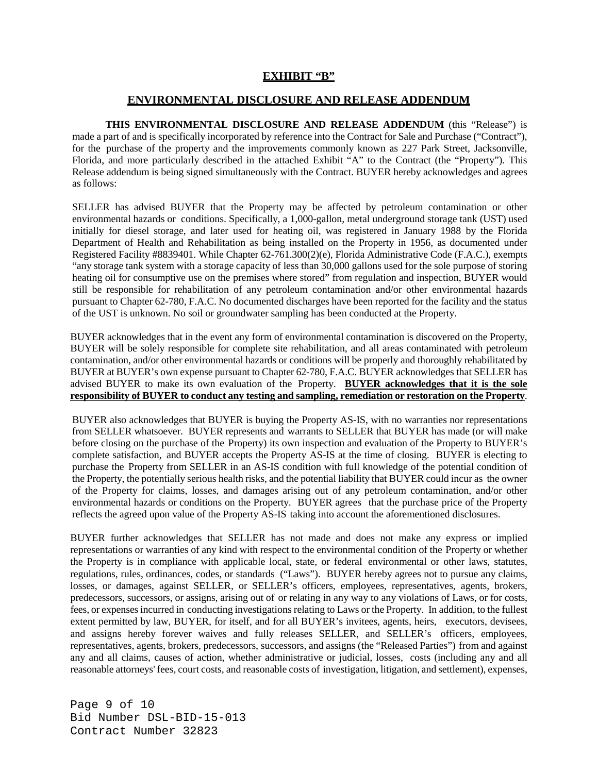# **EXHIBIT "B"**

## **ENVIRONMENTAL DISCLOSURE AND RELEASE ADDENDUM**

**THIS ENVIRONMENTAL DISCLOSURE AND RELEASE ADDENDUM** (this "Release") is made a part of and is specifically incorporated by reference into the Contract for Sale and Purchase ("Contract"), for the purchase of the property and the improvements commonly known as 227 Park Street, Jacksonville, Florida, and more particularly described in the attached Exhibit "A" to the Contract (the "Property"). This Release addendum is being signed simultaneously with the Contract. BUYER hereby acknowledges and agrees as follows:

SELLER has advised BUYER that the Property may be affected by petroleum contamination or other environmental hazards or conditions. Specifically, a 1,000-gallon, metal underground storage tank (UST) used initially for diesel storage, and later used for heating oil, was registered in January 1988 by the Florida Department of Health and Rehabilitation as being installed on the Property in 1956, as documented under Registered Facility #8839401. While Chapter 62-761.300(2)(e), Florida Administrative Code (F.A.C.), exempts "any storage tank system with a storage capacity of less than 30,000 gallons used for the sole purpose of storing heating oil for consumptive use on the premises where stored" from regulation and inspection, BUYER would still be responsible for rehabilitation of any petroleum contamination and/or other environmental hazards pursuant to Chapter 62-780, F.A.C. No documented discharges have been reported for the facility and the status of the UST is unknown. No soil or groundwater sampling has been conducted at the Property.

BUYER acknowledges that in the event any form of environmental contamination is discovered on the Property, BUYER will be solely responsible for complete site rehabilitation, and all areas contaminated with petroleum contamination, and/or other environmental hazards or conditions will be properly and thoroughly rehabilitated by BUYER at BUYER's own expense pursuant to Chapter 62-780, F.A.C. BUYER acknowledges that SELLER has advised BUYER to make its own evaluation of the Property. **BUYER acknowledges that it is the sole responsibility of BUYER to conduct any testing and sampling, remediation or restoration on the Property**.

BUYER also acknowledges that BUYER is buying the Property AS-IS, with no warranties nor representations from SELLER whatsoever. BUYER represents and warrants to SELLER that BUYER has made (or will make before closing on the purchase of the Property) its own inspection and evaluation of the Property to BUYER's complete satisfaction, and BUYER accepts the Property AS-IS at the time of closing. BUYER is electing to purchase the Property from SELLER in an AS-IS condition with full knowledge of the potential condition of the Property, the potentially serious health risks, and the potential liability that BUYER could incur as the owner of the Property for claims, losses, and damages arising out of any petroleum contamination, and/or other environmental hazards or conditions on the Property. BUYER agrees that the purchase price of the Property reflects the agreed upon value of the Property AS-IS taking into account the aforementioned disclosures.

BUYER further acknowledges that SELLER has not made and does not make any express or implied representations or warranties of any kind with respect to the environmental condition of the Property or whether the Property is in compliance with applicable local, state, or federal environmental or other laws, statutes, regulations, rules, ordinances, codes, or standards ("Laws"). BUYER hereby agrees not to pursue any claims, losses, or damages, against SELLER, or SELLER's officers, employees, representatives, agents, brokers, predecessors, successors, or assigns, arising out of or relating in any way to any violations of Laws, or for costs, fees, or expenses incurred in conducting investigations relating to Laws or the Property. In addition, to the fullest extent permitted by law, BUYER, for itself, and for all BUYER's invitees, agents, heirs, executors, devisees, and assigns hereby forever waives and fully releases SELLER, and SELLER's officers, employees, representatives, agents, brokers, predecessors, successors, and assigns (the "Released Parties") from and against any and all claims, causes of action, whether administrative or judicial, losses, costs (including any and all reasonable attorneys' fees, court costs, and reasonable costs of investigation, litigation, and settlement), expenses,

Page 9 of 10 Bid Number DSL-BID-15-013 Contract Number 32823